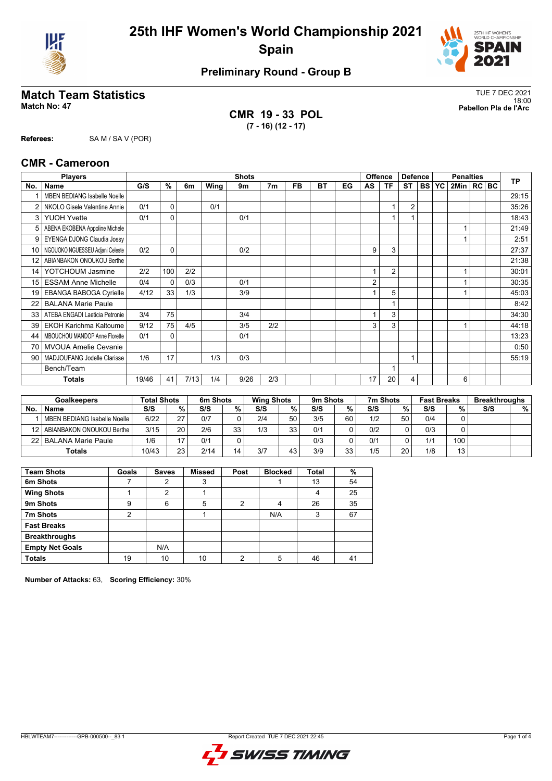



## **Match Team Statistics** TUE 7 DEC 2021

**CMR 19 - 33 POL (7 - 16) (12 - 17)**

18:00 **Match No: 47 Pabellon Pla de l'Arc** 

**Referees:** SA M / SA V (POR)

#### **CMR - Cameroon**

|                 | <b>Players</b><br><b>Shots</b>  |       |              |      |      |      |                | <b>Offence</b> | <b>Defence</b><br><b>Penalties</b> |    |    | <b>TP</b>      |                |           |    |                |  |       |
|-----------------|---------------------------------|-------|--------------|------|------|------|----------------|----------------|------------------------------------|----|----|----------------|----------------|-----------|----|----------------|--|-------|
| No.             | <b>Name</b>                     | G/S   | %            | 6m   | Wing | 9m   | 7 <sub>m</sub> | <b>FB</b>      | ВT                                 | EG | AS | ΤF             | ST             | <b>BS</b> | YC | 2Min   RC   BC |  |       |
|                 | MBEN BEDIANG Isabelle Noelle    |       |              |      |      |      |                |                |                                    |    |    |                |                |           |    |                |  | 29:15 |
| $\overline{2}$  | NKOLO Gisele Valentine Annie    | 0/1   | $\mathbf 0$  |      | 0/1  |      |                |                |                                    |    |    | 1              | $\overline{2}$ |           |    |                |  | 35:26 |
| 3               | <b>YUOH Yvette</b>              | 0/1   | $\mathbf 0$  |      |      | 0/1  |                |                |                                    |    |    |                | 1              |           |    |                |  | 18:43 |
| 5               | ABENA EKOBENA Appoline Michele  |       |              |      |      |      |                |                |                                    |    |    |                |                |           |    |                |  | 21:49 |
| 9               | EYENGA DJONG Claudia Jossy      |       |              |      |      |      |                |                |                                    |    |    |                |                |           |    |                |  | 2:51  |
| 10 <sup>1</sup> | NGOUOKO NGUESSEU Adjani Celeste | 0/2   | $\Omega$     |      |      | 0/2  |                |                |                                    |    | 9  | 3              |                |           |    |                |  | 27:37 |
| 12              | ABIANBAKON ONOUKOU Berthe       |       |              |      |      |      |                |                |                                    |    |    |                |                |           |    |                |  | 21:38 |
| 14              | YOTCHOUM Jasmine                | 2/2   | 100          | 2/2  |      |      |                |                |                                    |    |    | $\overline{2}$ |                |           |    |                |  | 30:01 |
| 15              | <b>ESSAM Anne Michelle</b>      | 0/4   | $\Omega$     | 0/3  |      | 0/1  |                |                |                                    |    | 2  |                |                |           |    |                |  | 30:35 |
| 19              | EBANGA BABOGA Cyrielle          | 4/12  | 33           | 1/3  |      | 3/9  |                |                |                                    |    |    | 5              |                |           |    |                |  | 45:03 |
| 22              | <b>BALANA Marie Paule</b>       |       |              |      |      |      |                |                |                                    |    |    |                |                |           |    |                |  | 8:42  |
| 33              | ATEBA ENGADI Laeticia Petronie  | 3/4   | 75           |      |      | 3/4  |                |                |                                    |    |    | 3              |                |           |    |                |  | 34:30 |
| 39              | <b>EKOH Karichma Kaltoume</b>   | 9/12  | 75           | 4/5  |      | 3/5  | 2/2            |                |                                    |    | 3  | 3              |                |           |    |                |  | 44:18 |
| 44              | MBOUCHOU MANDOP Anne Florette   | 0/1   | $\mathbf{0}$ |      |      | 0/1  |                |                |                                    |    |    |                |                |           |    |                |  | 13:23 |
| 70 I            | <b>MVOUA Amelie Cevanie</b>     |       |              |      |      |      |                |                |                                    |    |    |                |                |           |    |                |  | 0:50  |
| 90 <sub>1</sub> | MADJOUFANG Jodelle Clarisse     | 1/6   | 17           |      | 1/3  | 0/3  |                |                |                                    |    |    |                | 1              |           |    |                |  | 55:19 |
|                 | Bench/Team                      |       |              |      |      |      |                |                |                                    |    |    |                |                |           |    |                |  |       |
|                 | <b>Totals</b>                   | 19/46 | 41           | 7/13 | 1/4  | 9/26 | 2/3            |                |                                    |    | 17 | 20             | 4              |           |    | 6              |  |       |

|           | <b>Goalkeepers</b>            | Total Shots |                 | 6m Shots |    | <b>Wing Shots</b> |    | 9m Shots |    | 7m Shots |    | <b>Fast Breaks</b> |     | <b>Breakthroughs</b> |   |
|-----------|-------------------------------|-------------|-----------------|----------|----|-------------------|----|----------|----|----------|----|--------------------|-----|----------------------|---|
| <b>No</b> | <b>Name</b>                   | S/S         | %               | S/S      | %  | S/S               | %  | S/S      | %  | S/S      | %  | S/S                | %.  | S/S                  | % |
|           | MBEN BEDIANG Isabelle Noelle  | 6/22        | 27              | 0/7      |    | 2/4               | 50 | 3/5      | 60 | 1/2      | 50 | 0/4                |     |                      |   |
| 12 I      | I ABIANBAKON ONOUKOU Berthe I | 3/15        | 20 <sub>1</sub> | 2/6      | 33 | 1/3               | 33 | 0/1      |    | 0/2      |    | 0/3                |     |                      |   |
|           | 22   BALANA Marie Paule       | 1/6         | 17              | 0/1      |    |                   |    | 0/3      |    | 0/1      |    | 1/1                | 100 |                      |   |
|           | Totals                        | 10/43       | 23              | 2/14     | 14 | 3/7               | 43 | 3/9      | 33 | 1/5      | 20 | 1/8                | 13  |                      |   |

| <b>Team Shots</b>      | Goals | <b>Saves</b> | <b>Missed</b> | Post           | <b>Blocked</b> | <b>Total</b> | %              |
|------------------------|-------|--------------|---------------|----------------|----------------|--------------|----------------|
| 6m Shots               |       | 2            | 3             |                |                | 13           | 54             |
| <b>Wing Shots</b>      |       | 2            |               |                |                | 4            | 25             |
| 9m Shots               | 9     | 6            | 5             | $\overline{2}$ | 4              | 26           | 35             |
| 7m Shots               | 2     |              |               |                | N/A            | 3            | 67             |
| <b>Fast Breaks</b>     |       |              |               |                |                |              |                |
| <b>Breakthroughs</b>   |       |              |               |                |                |              |                |
| <b>Empty Net Goals</b> |       | N/A          |               |                |                |              |                |
| <b>Totals</b>          | 19    | 10           | 10            | ◠              | 5              | 46           | 4 <sup>1</sup> |

**Number of Attacks:** 63, **Scoring Efficiency:** 30%

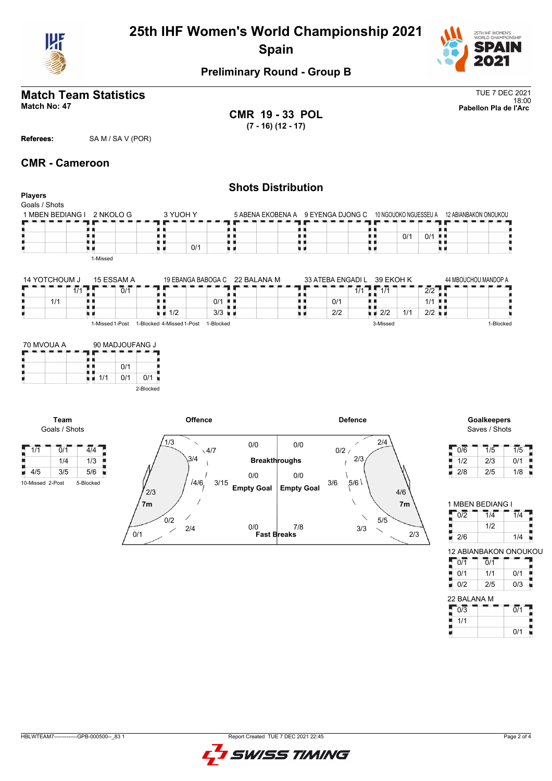



# **Match Team Statistics** TUE 7 DEC 2021

**CMR 19 - 33 POL (7 - 16) (12 - 17)**

18:00 **Match No: 47 Pabellon Pla de l'Arc** 

**Referees:** SA M / SA V (POR)

#### **CMR - Cameroon**

#### **Shots Distribution Players** Goals / Shots 1 MBEN BEDIANG I 2 NKOLO G 3 YUOH Y 5 ABENA EKOBENA A 9 EYENGA DJONG C 10 NGOUOKO NGUESSEU A 12 ABIANBAKON ONOUKOU 89 0 йR, ji k R, Ą H ĵ, 机电 机机  $0/1$  0/1 H ā 0/1 u p υø u n u a u p υø 1-Missed 14 YOTCHOUM J 15 ESSAM A 19 EBANGA BABOGA C  $\frac{44 \text{ MBOUCHOU MANDOP A}}{2/2}$ 22 BALANA M 33 ATEBA ENGADI L 39 EKOH K ŦГ ÷. a m  $0/1$ 1/1 1/1 1/1 2/2 ÄЦ д ×в 0 1/1 n e  $0/1$ H . . 0/1 Ъ  $1/1$  =  $\frac{1}{1}$ U  $\frac{6}{11}$   $\frac{1}{2}$   $\frac{6}{3/3}$  $\frac{1}{2}$  2/2 1/1 2/2 2/2 m. 1-Missed 1-Post 1-Blocked 4-Missed 1-Post 1-Blocked 3-Missed 1-Blocked 70 MVOUA A 90 MADJOUFANG J TЕ  $\begin{array}{|c|c|c|}\n\hline\n1 & 0/1 & \\
1/1 & 0/1 & 0/1 \\
\hline\n\end{array}$ 0/1 h 2-Blocked **Offence Defence Goalkeepers Team** Goals / Shots Saves / Shots  $'$ <sub>1/3</sub> 2/4 0/0 0/0  $\frac{1}{2}$  0/6 1 1/5 1/5  $1/1$  0/1 4/4  $\sqrt{4/7}$  $0/2 /$ 3/4  $1^{2/3}$ Н 1/4 1/3 Ĥ **Breakthroughs**  $\frac{1}{2}$  1/2 2/3 0/1 j  $4/5$  3/5 5/6 2/8 2/5 1/8 F  $0/0$  $0/0$ 4/6 3/15  $3/6$  5/6 10-Missed 2-Post 5-Blocked **Empty Goal Empty Goal**  $'2/3$ 4/6

**Fast Breaks**

7/8

2/3

1 MBEN BEDIANG I  $\sqrt{0/2}$  1/4  $\sqrt{1/4}$  1/4 1/2  $\frac{1}{2}$  2/6 1/4

 $10/1$   $0/1$ 

22 BALANA M  $\frac{1}{2}$  0/3  $\frac{1}{2}$  0/1

 $-1/1$ 

Н

12 ABIANBAKON ONOUKOU

 $0/1$   $1/1$   $0/1$  $0/2$  2/5 0/3

3/3

5/5

**7m 7m**

 $0/0$ 

0/1

H

Ū

н

E H

H

0/1

2/4

0/2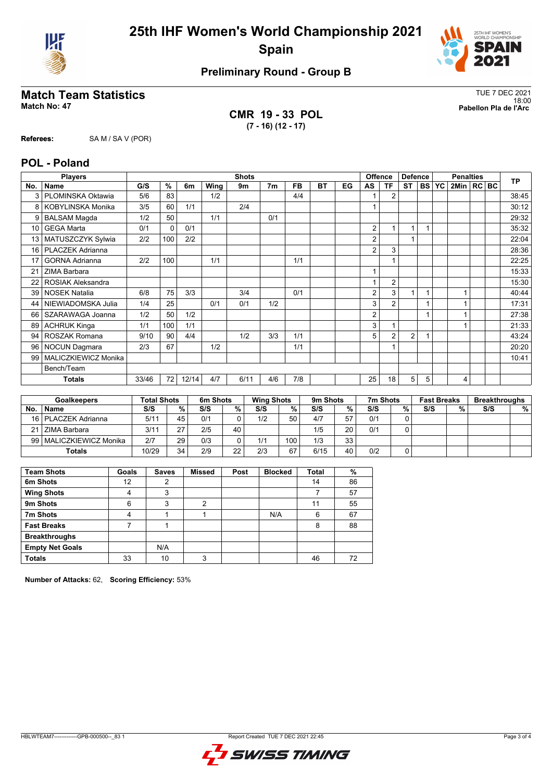



# **Match Team Statistics** TUE 7 DEC 2021

**CMR 19 - 33 POL (7 - 16) (12 - 17)**

18:00 **Match No: 47 Pabellon Pla de l'Arc** 

**Referees:** SA M / SA V (POR)

**POL - Poland**

| <b>Players</b><br><b>Shots</b> |                          |       |     |       |      |      |                |     | <b>Offence</b><br><b>Defence</b><br><b>Penalties</b> |    |                |                |                | <b>TP</b> |    |                |  |       |
|--------------------------------|--------------------------|-------|-----|-------|------|------|----------------|-----|------------------------------------------------------|----|----------------|----------------|----------------|-----------|----|----------------|--|-------|
| No.                            | <b>Name</b>              | G/S   | %   | 6m    | Wing | 9m   | 7 <sub>m</sub> | FB  | ВT                                                   | EG | AS             | TF             | <b>ST</b>      | <b>BS</b> | YC | 2Min   RC   BC |  |       |
| 3                              | PLOMINSKA Oktawia        | 5/6   | 83  |       | 1/2  |      |                | 4/4 |                                                      |    |                | $\overline{2}$ |                |           |    |                |  | 38:45 |
| 8                              | <b>KOBYLINSKA Monika</b> | 3/5   | 60  | 1/1   |      | 2/4  |                |     |                                                      |    |                |                |                |           |    |                |  | 30:12 |
| 9                              | <b>BALSAM Magda</b>      | 1/2   | 50  |       | 1/1  |      | 0/1            |     |                                                      |    |                |                |                |           |    |                |  | 29:32 |
| 10                             | <b>GEGA Marta</b>        | 0/1   | 0   | 0/1   |      |      |                |     |                                                      |    | $\overline{2}$ |                | 1              |           |    |                |  | 35:32 |
| 13                             | MATUSZCZYK Sylwia        | 2/2   | 100 | 2/2   |      |      |                |     |                                                      |    | $\overline{2}$ |                | 1              |           |    |                |  | 22:04 |
| 16                             | PLACZEK Adrianna         |       |     |       |      |      |                |     |                                                      |    | $\overline{2}$ | 3              |                |           |    |                |  | 28:36 |
| 17                             | <b>GORNA Adrianna</b>    | 2/2   | 100 |       | 1/1  |      |                | 1/1 |                                                      |    |                |                |                |           |    |                |  | 22:25 |
| 21                             | ZIMA Barbara             |       |     |       |      |      |                |     |                                                      |    | 1              |                |                |           |    |                |  | 15:33 |
| 22                             | ROSIAK Aleksandra        |       |     |       |      |      |                |     |                                                      |    |                | $\overline{2}$ |                |           |    |                |  | 15:30 |
| 39                             | <b>NOSEK Natalia</b>     | 6/8   | 75  | 3/3   |      | 3/4  |                | 0/1 |                                                      |    | 2              | 3              | 1              |           |    |                |  | 40:44 |
| 44                             | NIEWIADOMSKA Julia       | 1/4   | 25  |       | 0/1  | 0/1  | 1/2            |     |                                                      |    | 3              | 2              |                |           |    |                |  | 17:31 |
| 66                             | SZARAWAGA Joanna         | 1/2   | 50  | 1/2   |      |      |                |     |                                                      |    | $\overline{2}$ |                |                |           |    |                |  | 27:38 |
| 89                             | <b>ACHRUK Kinga</b>      | 1/1   | 100 | 1/1   |      |      |                |     |                                                      |    | 3              |                |                |           |    |                |  | 21:33 |
| 94                             | <b>ROSZAK Romana</b>     | 9/10  | 90  | 4/4   |      | 1/2  | 3/3            | 1/1 |                                                      |    | 5              | $\overline{2}$ | $\overline{2}$ |           |    |                |  | 43:24 |
| 96                             | <b>NOCUN Dagmara</b>     | 2/3   | 67  |       | 1/2  |      |                | 1/1 |                                                      |    |                |                |                |           |    |                |  | 20:20 |
| 99                             | MALICZKIEWICZ Monika     |       |     |       |      |      |                |     |                                                      |    |                |                |                |           |    |                |  | 10:41 |
|                                | Bench/Team               |       |     |       |      |      |                |     |                                                      |    |                |                |                |           |    |                |  |       |
|                                | <b>Totals</b>            | 33/46 | 72  | 12/14 | 4/7  | 6/11 | 4/6            | 7/8 |                                                      |    | 25             | 18             | 5              | 5         |    | 4              |  |       |

|      | <b>Goalkeepers</b>        | <b>Total Shots</b> |    | 6m Shots |    | <b>Wing Shots</b> |     | 9m Shots |    | 7m Shots |   | <b>Fast Breaks</b> |   | <b>Breakthroughs</b> |   |
|------|---------------------------|--------------------|----|----------|----|-------------------|-----|----------|----|----------|---|--------------------|---|----------------------|---|
| No.  | <b>Name</b>               | S/S                | %. | S/S      | %  | S/S               | %   | S/S      | %  | S/S      | % | S/S                | % | S/S                  | % |
|      | 16   PLACZEK Adrianna     | 5/11               | 45 | 0/1      |    | 1/2               | 50  | 4/7      | 57 | 0/1      |   |                    |   |                      |   |
| 21 I | I ZIMA Barbara            | 3/11               | 27 | 2/5      | 40 |                   |     | 1/5      | 20 | 0/1      |   |                    |   |                      |   |
|      | 99   MALICZKIEWICZ Monika | 2/7                | 29 | 0/3      |    | 1/1               | 100 | 1/3      | 33 |          |   |                    |   |                      |   |
|      | <b>Totals</b>             | 10/29              | 34 | 2/9      | 22 | 2/3               | 67  | 6/15     | 40 | 0/2      |   |                    |   |                      |   |

| <b>Team Shots</b>      | Goals | <b>Saves</b> | <b>Missed</b>  | Post | <b>Blocked</b> | <b>Total</b> | %  |
|------------------------|-------|--------------|----------------|------|----------------|--------------|----|
| 6m Shots               | 12    | 2            |                |      |                | 14           | 86 |
| <b>Wing Shots</b>      | 4     | 3            |                |      |                |              | 57 |
| 9m Shots               | 6     | 3            | $\overline{2}$ |      |                | 11           | 55 |
| 7m Shots               | 4     |              |                |      | N/A            | 6            | 67 |
| <b>Fast Breaks</b>     |       |              |                |      |                | 8            | 88 |
| <b>Breakthroughs</b>   |       |              |                |      |                |              |    |
| <b>Empty Net Goals</b> |       | N/A          |                |      |                |              |    |
| <b>Totals</b>          | 33    | 10           | 3              |      |                | 46           | 72 |

**Number of Attacks:** 62, **Scoring Efficiency:** 53%